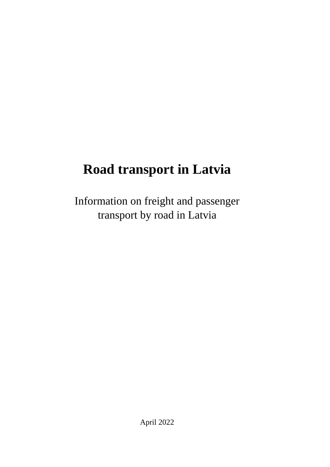# **Road transport in Latvia**

Information on freight and passenger transport by road in Latvia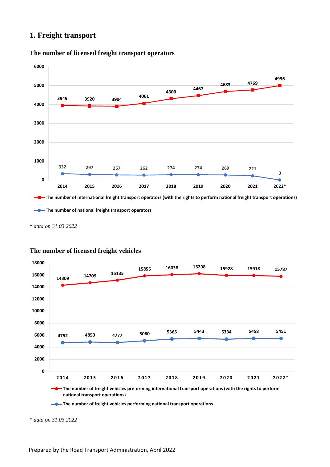# **1. Freight transport**



#### **The number of licensed freight transport operators**

*\* data on 31.03.2022*



## **The number of licensed freight vehicles**

**The number of freight vehicles performing national transport operations** 

*\* data on 31.03.2022*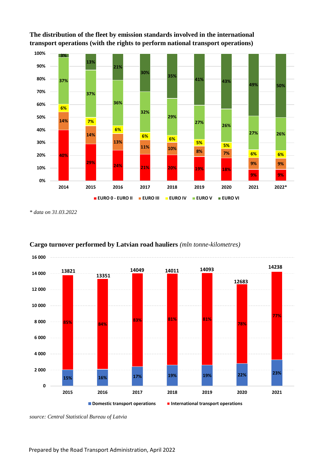

**The distribution of the fleet by emission standards involved in the international transport operations (with the rights to perform national transport operations)**

*\* data on 31.03.2022*



# **Cargo turnover performed by Latvian road hauliers** *(mln tonne-kilometres)*

*source: Central Statistical Bureau of Latvia*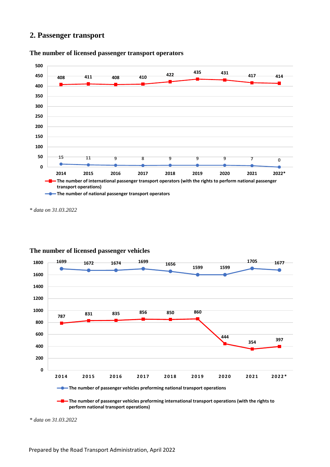# **2. Passenger transport**



**The number of licensed passenger transport operators**

*\* data on 31.03.2022*



## **The number of licensed passenger vehicles**

**The number of passenger vehicles preforming international transport operations (with the rights to perform national transport operations)**

*\* data on 31.03.2022*